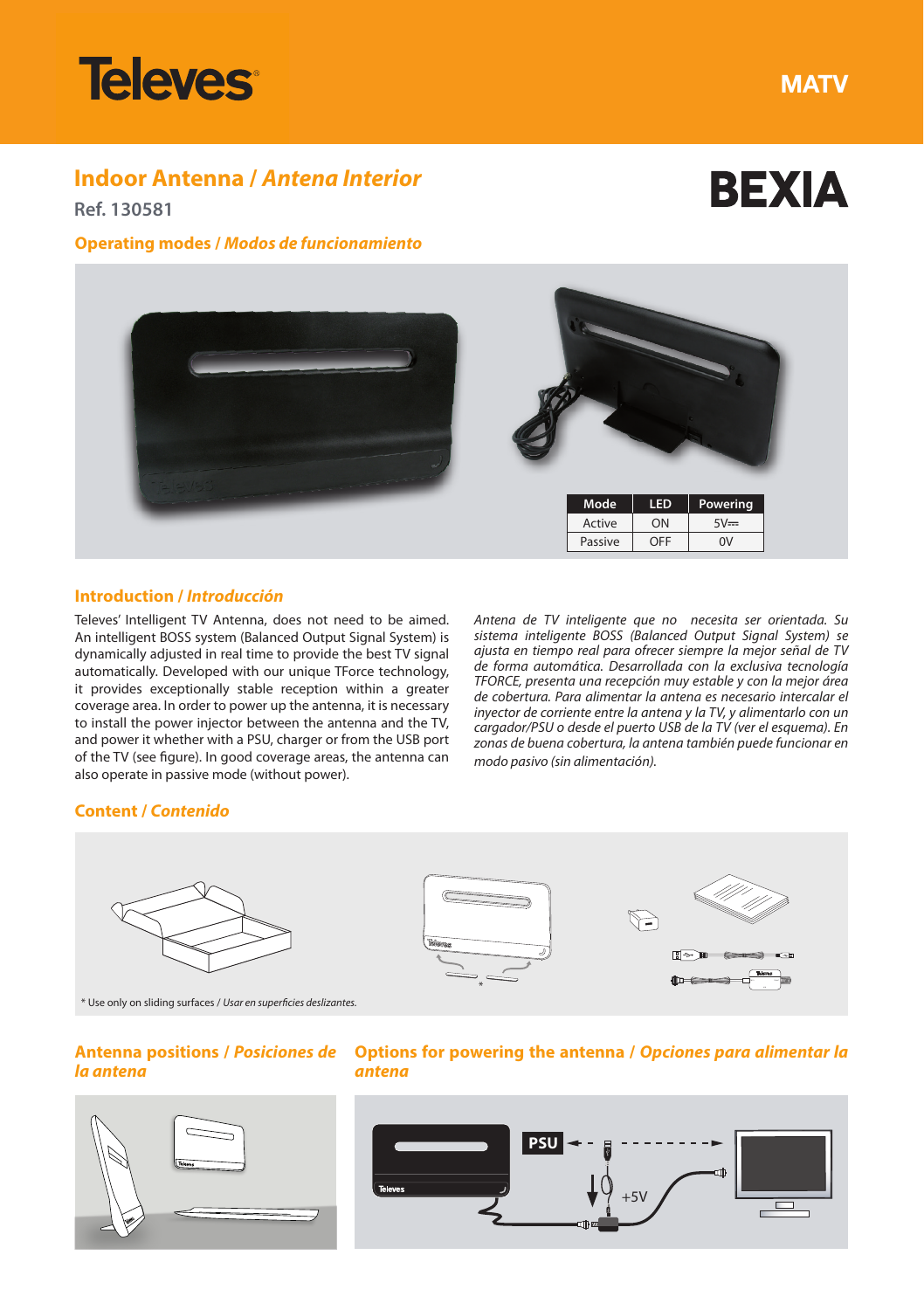

**MATV** 

**BEXIA** 

# **Indoor Antenna /** *Antena Interior*

**Ref. 130581**

# **Operating modes /** *Modos de funcionamiento*



# **Introduction /** *Introducción*

Televes' Intelligent TV Antenna, does not need to be aimed. An intelligent BOSS system (Balanced Output Signal System) is dynamically adjusted in real time to provide the best TV signal automatically. Developed with our unique TForce technology, it provides exceptionally stable reception within a greater coverage area. In order to power up the antenna, it is necessary to install the power injector between the antenna and the TV, and power it whether with a PSU, charger or from the USB port of the TV (see figure). In good coverage areas, the antenna can also operate in passive mode (without power).

*Antena de TV inteligente que no necesita ser orientada. Su sistema inteligente BOSS (Balanced Output Signal System) se ajusta en tiempo real para ofrecer siempre la mejor señal de TV de forma automática. Desarrollada con la exclusiva tecnología TFORCE, presenta una recepción muy estable y con la mejor área de cobertura. Para alimentar la antena es necesario intercalar el inyector de corriente entre la antena y la TV, y alimentarlo con un cargador/PSU o desde el puerto USB de la TV (ver el esquema). En zonas de buena cobertura, la antena también puede funcionar en modo pasivo (sin alimentación).* 

#### **Content /** *Contenido*



\* Use only on sliding surfaces / *Usar en superficies deslizantes.*

### **Antenna positions /** *Posiciones de la antena*



# **Options for powering the antenna /** *Opciones para alimentar la antena*